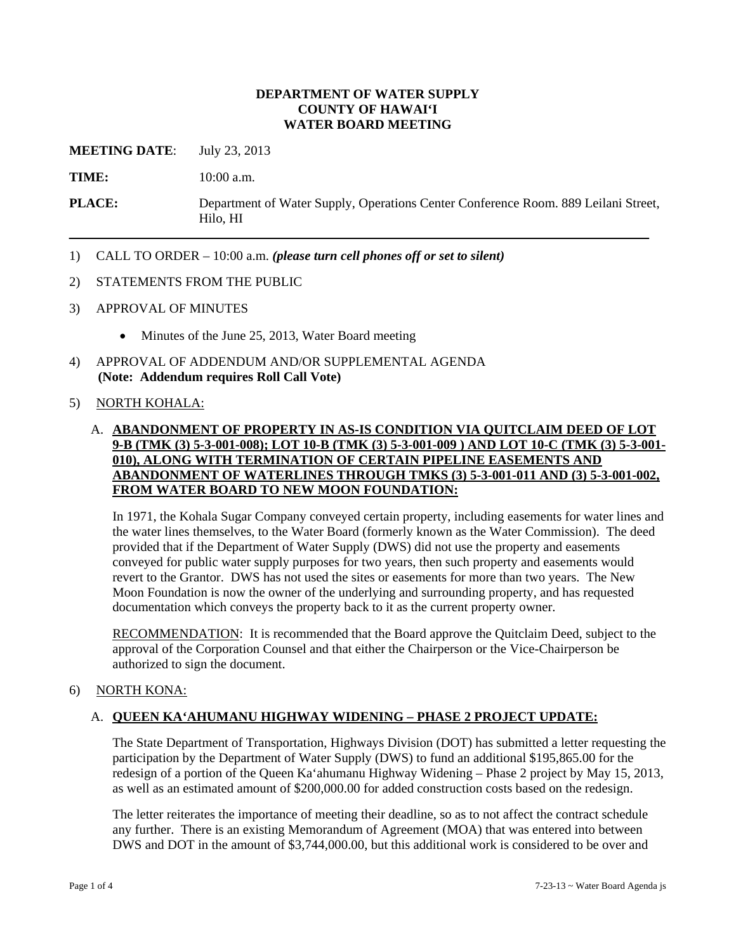#### **DEPARTMENT OF WATER SUPPLY COUNTY OF HAWAI'I WATER BOARD MEETING**

**MEETING DATE:** July 23, 2013

**TIME:** 10:00 a.m.

**PLACE:** Department of Water Supply, Operations Center Conference Room. 889 Leilani Street, Hilo, HI

- 1) CALL TO ORDER 10:00 a.m. *(please turn cell phones off or set to silent)*
- 2) STATEMENTS FROM THE PUBLIC
- 3) APPROVAL OF MINUTES
	- Minutes of the June 25, 2013, Water Board meeting
- 4) APPROVAL OF ADDENDUM AND/OR SUPPLEMENTAL AGENDA **(Note: Addendum requires Roll Call Vote)**

### 5) NORTH KOHALA:

### A. **ABANDONMENT OF PROPERTY IN AS-IS CONDITION VIA QUITCLAIM DEED OF LOT 9-B (TMK (3) 5-3-001-008); LOT 10-B (TMK (3) 5-3-001-009 ) AND LOT 10-C (TMK (3) 5-3-001- 010), ALONG WITH TERMINATION OF CERTAIN PIPELINE EASEMENTS AND ABANDONMENT OF WATERLINES THROUGH TMKS (3) 5-3-001-011 AND (3) 5-3-001-002, FROM WATER BOARD TO NEW MOON FOUNDATION:**

In 1971, the Kohala Sugar Company conveyed certain property, including easements for water lines and the water lines themselves, to the Water Board (formerly known as the Water Commission). The deed provided that if the Department of Water Supply (DWS) did not use the property and easements conveyed for public water supply purposes for two years, then such property and easements would revert to the Grantor. DWS has not used the sites or easements for more than two years. The New Moon Foundation is now the owner of the underlying and surrounding property, and has requested documentation which conveys the property back to it as the current property owner.

RECOMMENDATION: It is recommended that the Board approve the Quitclaim Deed, subject to the approval of the Corporation Counsel and that either the Chairperson or the Vice-Chairperson be authorized to sign the document.

### 6) NORTH KONA:

### A. **QUEEN KA'AHUMANU HIGHWAY WIDENING – PHASE 2 PROJECT UPDATE:**

The State Department of Transportation, Highways Division (DOT) has submitted a letter requesting the participation by the Department of Water Supply (DWS) to fund an additional \$195,865.00 for the redesign of a portion of the Queen Ka'ahumanu Highway Widening – Phase 2 project by May 15, 2013, as well as an estimated amount of \$200,000.00 for added construction costs based on the redesign.

The letter reiterates the importance of meeting their deadline, so as to not affect the contract schedule any further. There is an existing Memorandum of Agreement (MOA) that was entered into between DWS and DOT in the amount of \$3,744,000.00, but this additional work is considered to be over and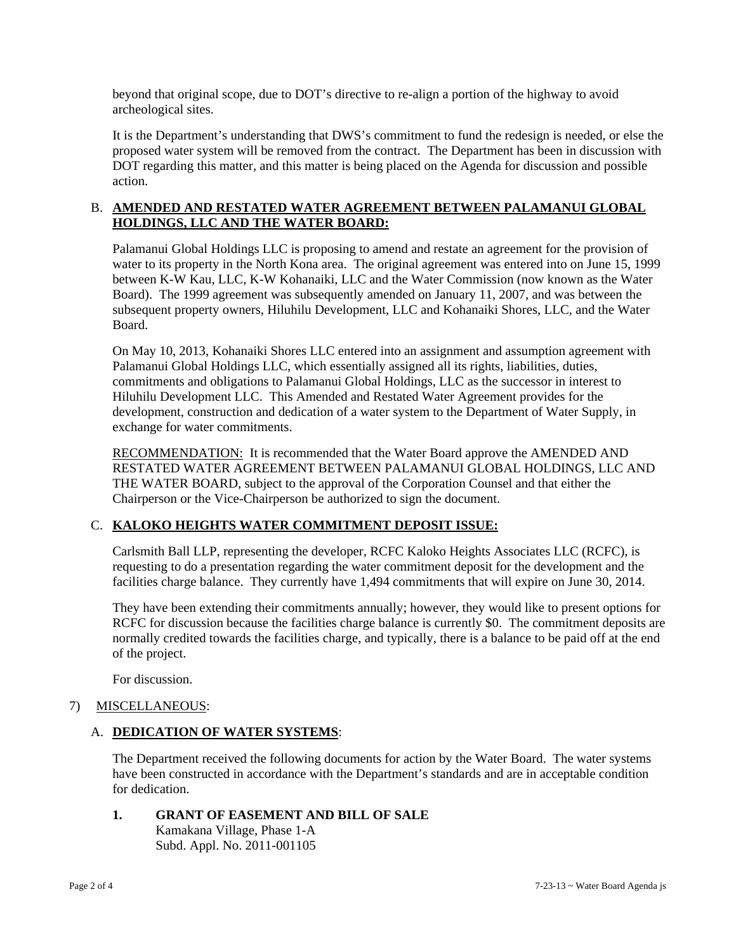beyond that original scope, due to DOT's directive to re-align a portion of the highway to avoid archeological sites.

It is the Department's understanding that DWS's commitment to fund the redesign is needed, or else the proposed water system will be removed from the contract. The Department has been in discussion with DOT regarding this matter, and this matter is being placed on the Agenda for discussion and possible action.

### B. **AMENDED AND RESTATED WATER AGREEMENT BETWEEN PALAMANUI GLOBAL HOLDINGS, LLC AND THE WATER BOARD:**

Palamanui Global Holdings LLC is proposing to amend and restate an agreement for the provision of water to its property in the North Kona area. The original agreement was entered into on June 15, 1999 between K-W Kau, LLC, K-W Kohanaiki, LLC and the Water Commission (now known as the Water Board). The 1999 agreement was subsequently amended on January 11, 2007, and was between the subsequent property owners, Hiluhilu Development, LLC and Kohanaiki Shores, LLC, and the Water Board.

On May 10, 2013, Kohanaiki Shores LLC entered into an assignment and assumption agreement with Palamanui Global Holdings LLC, which essentially assigned all its rights, liabilities, duties, commitments and obligations to Palamanui Global Holdings, LLC as the successor in interest to Hiluhilu Development LLC. This Amended and Restated Water Agreement provides for the development, construction and dedication of a water system to the Department of Water Supply, in exchange for water commitments.

RECOMMENDATION: It is recommended that the Water Board approve the AMENDED AND RESTATED WATER AGREEMENT BETWEEN PALAMANUI GLOBAL HOLDINGS, LLC AND THE WATER BOARD, subject to the approval of the Corporation Counsel and that either the Chairperson or the Vice-Chairperson be authorized to sign the document.

## C. **KALOKO HEIGHTS WATER COMMITMENT DEPOSIT ISSUE:**

Carlsmith Ball LLP, representing the developer, RCFC Kaloko Heights Associates LLC (RCFC), is requesting to do a presentation regarding the water commitment deposit for the development and the facilities charge balance. They currently have 1,494 commitments that will expire on June 30, 2014.

They have been extending their commitments annually; however, they would like to present options for RCFC for discussion because the facilities charge balance is currently \$0. The commitment deposits are normally credited towards the facilities charge, and typically, there is a balance to be paid off at the end of the project.

For discussion.

### 7) MISCELLANEOUS:

### A. **DEDICATION OF WATER SYSTEMS**:

The Department received the following documents for action by the Water Board. The water systems have been constructed in accordance with the Department's standards and are in acceptable condition for dedication.

# **1. GRANT OF EASEMENT AND BILL OF SALE**

 Kamakana Village, Phase 1-A Subd. Appl. No. 2011-001105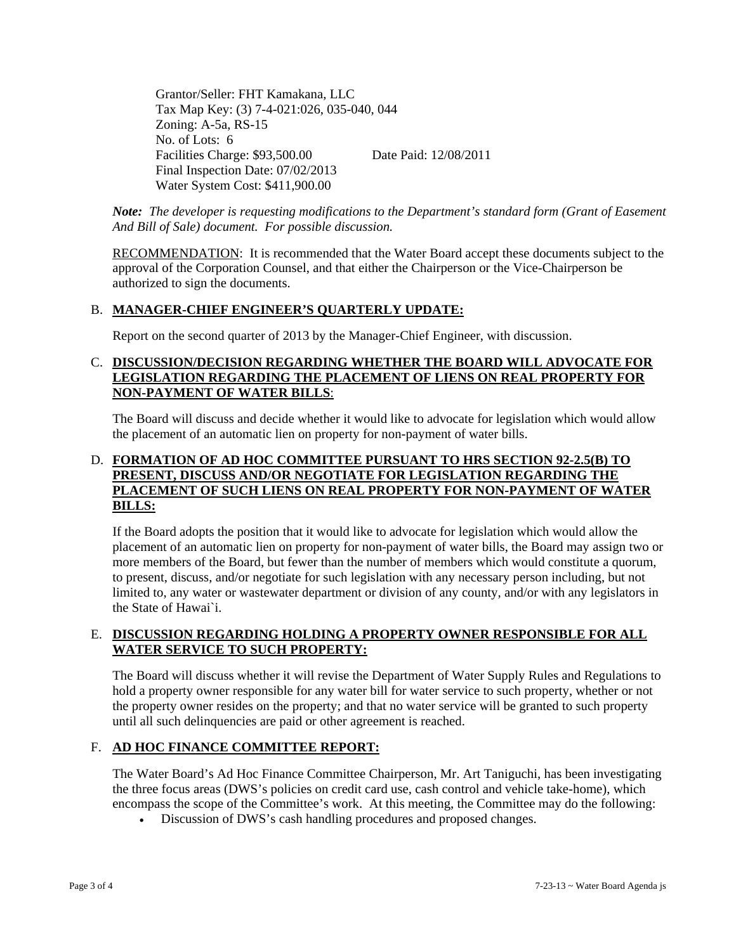Grantor/Seller: FHT Kamakana, LLC Tax Map Key: (3) 7-4-021:026, 035-040, 044 Zoning: A-5a, RS-15 No. of Lots: 6 Facilities Charge: \$93,500.00 Date Paid: 12/08/2011 Final Inspection Date: 07/02/2013 Water System Cost: \$411,900.00

*Note: The developer is requesting modifications to the Department's standard form (Grant of Easement And Bill of Sale) document. For possible discussion.* 

RECOMMENDATION: It is recommended that the Water Board accept these documents subject to the approval of the Corporation Counsel, and that either the Chairperson or the Vice-Chairperson be authorized to sign the documents.

### B. **MANAGER-CHIEF ENGINEER'S QUARTERLY UPDATE:**

Report on the second quarter of 2013 by the Manager-Chief Engineer, with discussion.

### C. **DISCUSSION/DECISION REGARDING WHETHER THE BOARD WILL ADVOCATE FOR LEGISLATION REGARDING THE PLACEMENT OF LIENS ON REAL PROPERTY FOR NON-PAYMENT OF WATER BILLS**:

The Board will discuss and decide whether it would like to advocate for legislation which would allow the placement of an automatic lien on property for non-payment of water bills.

### D. **FORMATION OF AD HOC COMMITTEE PURSUANT TO HRS SECTION 92-2.5(B) TO PRESENT, DISCUSS AND/OR NEGOTIATE FOR LEGISLATION REGARDING THE PLACEMENT OF SUCH LIENS ON REAL PROPERTY FOR NON-PAYMENT OF WATER BILLS:**

If the Board adopts the position that it would like to advocate for legislation which would allow the placement of an automatic lien on property for non-payment of water bills, the Board may assign two or more members of the Board, but fewer than the number of members which would constitute a quorum, to present, discuss, and/or negotiate for such legislation with any necessary person including, but not limited to, any water or wastewater department or division of any county, and/or with any legislators in the State of Hawai`i.

### E. **DISCUSSION REGARDING HOLDING A PROPERTY OWNER RESPONSIBLE FOR ALL WATER SERVICE TO SUCH PROPERTY:**

The Board will discuss whether it will revise the Department of Water Supply Rules and Regulations to hold a property owner responsible for any water bill for water service to such property, whether or not the property owner resides on the property; and that no water service will be granted to such property until all such delinquencies are paid or other agreement is reached.

### F. **AD HOC FINANCE COMMITTEE REPORT:**

The Water Board's Ad Hoc Finance Committee Chairperson, Mr. Art Taniguchi, has been investigating the three focus areas (DWS's policies on credit card use, cash control and vehicle take-home), which encompass the scope of the Committee's work. At this meeting, the Committee may do the following:

Discussion of DWS's cash handling procedures and proposed changes.